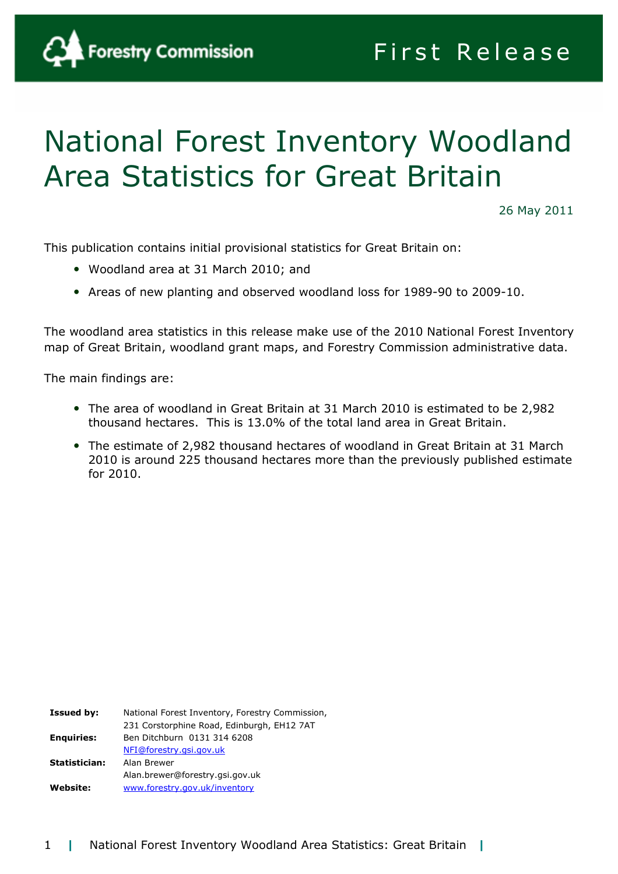

# National Forest Inventory Woodland Area Statistics for Great Britain

26 May 2011

This publication contains initial provisional statistics for Great Britain on:

- Woodland area at 31 March 2010; and
- Areas of new planting and observed woodland loss for 1989-90 to 2009-10.

The woodland area statistics in this release make use of the 2010 National Forest Inventory map of Great Britain, woodland grant maps, and Forestry Commission administrative data.

The main findings are:

- The area of woodland in Great Britain at 31 March 2010 is estimated to be 2,982 thousand hectares. This is 13.0% of the total land area in Great Britain.
- The estimate of 2,982 thousand hectares of woodland in Great Britain at 31 March 2010 is around 225 thousand hectares more than the previously published estimate for 2010.

Issued by: National Forest Inventory, Forestry Commission, 231 Corstorphine Road, Edinburgh, EH12 7AT Enquiries: Ben Ditchburn 0131 314 6208 NFI@forestry.gsi.gov.uk Statistician: Alan Brewer Alan.brewer@forestry.gsi.gov.uk Website: www.forestry.gov.uk/inventory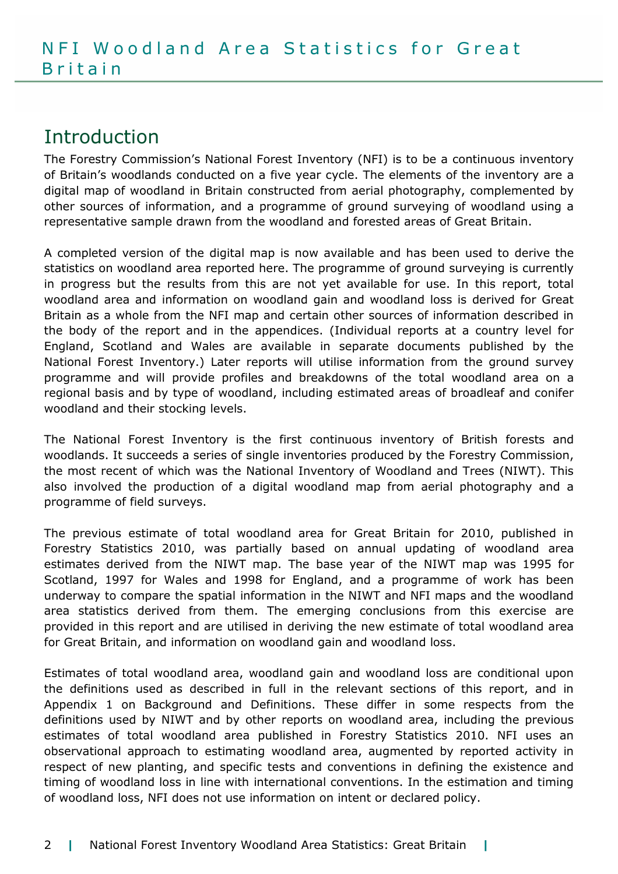## Introduction

The Forestry Commission's National Forest Inventory (NFI) is to be a continuous inventory of Britain's woodlands conducted on a five year cycle. The elements of the inventory are a digital map of woodland in Britain constructed from aerial photography, complemented by other sources of information, and a programme of ground surveying of woodland using a representative sample drawn from the woodland and forested areas of Great Britain.

A completed version of the digital map is now available and has been used to derive the statistics on woodland area reported here. The programme of ground surveying is currently in progress but the results from this are not yet available for use. In this report, total woodland area and information on woodland gain and woodland loss is derived for Great Britain as a whole from the NFI map and certain other sources of information described in the body of the report and in the appendices. (Individual reports at a country level for England, Scotland and Wales are available in separate documents published by the National Forest Inventory.) Later reports will utilise information from the ground survey programme and will provide profiles and breakdowns of the total woodland area on a regional basis and by type of woodland, including estimated areas of broadleaf and conifer woodland and their stocking levels.

The National Forest Inventory is the first continuous inventory of British forests and woodlands. It succeeds a series of single inventories produced by the Forestry Commission, the most recent of which was the National Inventory of Woodland and Trees (NIWT). This also involved the production of a digital woodland map from aerial photography and a programme of field surveys.

The previous estimate of total woodland area for Great Britain for 2010, published in Forestry Statistics 2010, was partially based on annual updating of woodland area estimates derived from the NIWT map. The base year of the NIWT map was 1995 for Scotland, 1997 for Wales and 1998 for England, and a programme of work has been underway to compare the spatial information in the NIWT and NFI maps and the woodland area statistics derived from them. The emerging conclusions from this exercise are provided in this report and are utilised in deriving the new estimate of total woodland area for Great Britain, and information on woodland gain and woodland loss.

Estimates of total woodland area, woodland gain and woodland loss are conditional upon the definitions used as described in full in the relevant sections of this report, and in Appendix 1 on Background and Definitions. These differ in some respects from the definitions used by NIWT and by other reports on woodland area, including the previous estimates of total woodland area published in Forestry Statistics 2010. NFI uses an observational approach to estimating woodland area, augmented by reported activity in respect of new planting, and specific tests and conventions in defining the existence and timing of woodland loss in line with international conventions. In the estimation and timing of woodland loss, NFI does not use information on intent or declared policy.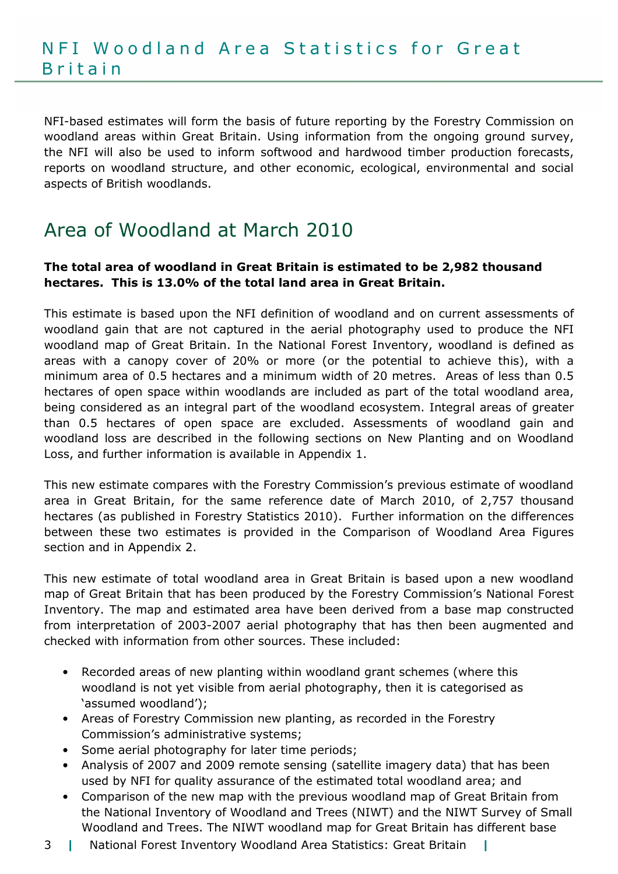NFI-based estimates will form the basis of future reporting by the Forestry Commission on woodland areas within Great Britain. Using information from the ongoing ground survey, the NFI will also be used to inform softwood and hardwood timber production forecasts, reports on woodland structure, and other economic, ecological, environmental and social aspects of British woodlands.

# Area of Woodland at March 2010

#### The total area of woodland in Great Britain is estimated to be 2,982 thousand hectares. This is 13.0% of the total land area in Great Britain.

This estimate is based upon the NFI definition of woodland and on current assessments of woodland gain that are not captured in the aerial photography used to produce the NFI woodland map of Great Britain. In the National Forest Inventory, woodland is defined as areas with a canopy cover of 20% or more (or the potential to achieve this), with a minimum area of 0.5 hectares and a minimum width of 20 metres. Areas of less than 0.5 hectares of open space within woodlands are included as part of the total woodland area, being considered as an integral part of the woodland ecosystem. Integral areas of greater than 0.5 hectares of open space are excluded. Assessments of woodland gain and woodland loss are described in the following sections on New Planting and on Woodland Loss, and further information is available in Appendix 1.

This new estimate compares with the Forestry Commission's previous estimate of woodland area in Great Britain, for the same reference date of March 2010, of 2,757 thousand hectares (as published in Forestry Statistics 2010). Further information on the differences between these two estimates is provided in the Comparison of Woodland Area Figures section and in Appendix 2.

This new estimate of total woodland area in Great Britain is based upon a new woodland map of Great Britain that has been produced by the Forestry Commission's National Forest Inventory. The map and estimated area have been derived from a base map constructed from interpretation of 2003-2007 aerial photography that has then been augmented and checked with information from other sources. These included:

- Recorded areas of new planting within woodland grant schemes (where this woodland is not yet visible from aerial photography, then it is categorised as 'assumed woodland');
- Areas of Forestry Commission new planting, as recorded in the Forestry Commission's administrative systems;
- Some aerial photography for later time periods;
- Analysis of 2007 and 2009 remote sensing (satellite imagery data) that has been used by NFI for quality assurance of the estimated total woodland area; and
- Comparison of the new map with the previous woodland map of Great Britain from the National Inventory of Woodland and Trees (NIWT) and the NIWT Survey of Small Woodland and Trees. The NIWT woodland map for Great Britain has different base
- 3 | National Forest Inventory Woodland Area Statistics: Great Britain |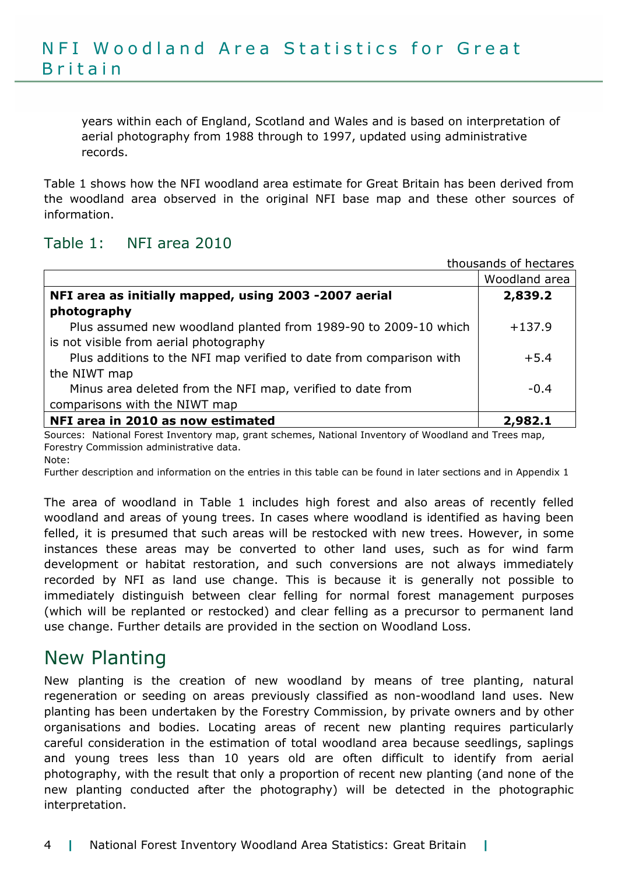years within each of England, Scotland and Wales and is based on interpretation of aerial photography from 1988 through to 1997, updated using administrative records.

Table 1 shows how the NFI woodland area estimate for Great Britain has been derived from the woodland area observed in the original NFI base map and these other sources of information.

## Table 1: NFI area 2010

| thousands of hectares                                               |               |
|---------------------------------------------------------------------|---------------|
|                                                                     | Woodland area |
| NFI area as initially mapped, using 2003 -2007 aerial               | 2,839.2       |
| photography                                                         |               |
| Plus assumed new woodland planted from 1989-90 to 2009-10 which     | $+137.9$      |
| is not visible from aerial photography                              |               |
| Plus additions to the NFI map verified to date from comparison with | $+5.4$        |
| the NIWT map                                                        |               |
| Minus area deleted from the NFI map, verified to date from          | $-0.4$        |
| comparisons with the NIWT map                                       |               |
| NFI area in 2010 as now estimated                                   | 2.982.1       |

Sources: National Forest Inventory map, grant schemes, National Inventory of Woodland and Trees map, Forestry Commission administrative data. Note:

Further description and information on the entries in this table can be found in later sections and in Appendix 1

The area of woodland in Table 1 includes high forest and also areas of recently felled woodland and areas of young trees. In cases where woodland is identified as having been felled, it is presumed that such areas will be restocked with new trees. However, in some instances these areas may be converted to other land uses, such as for wind farm development or habitat restoration, and such conversions are not always immediately recorded by NFI as land use change. This is because it is generally not possible to immediately distinguish between clear felling for normal forest management purposes (which will be replanted or restocked) and clear felling as a precursor to permanent land use change. Further details are provided in the section on Woodland Loss.

## New Planting

New planting is the creation of new woodland by means of tree planting, natural regeneration or seeding on areas previously classified as non-woodland land uses. New planting has been undertaken by the Forestry Commission, by private owners and by other organisations and bodies. Locating areas of recent new planting requires particularly careful consideration in the estimation of total woodland area because seedlings, saplings and young trees less than 10 years old are often difficult to identify from aerial photography, with the result that only a proportion of recent new planting (and none of the new planting conducted after the photography) will be detected in the photographic interpretation.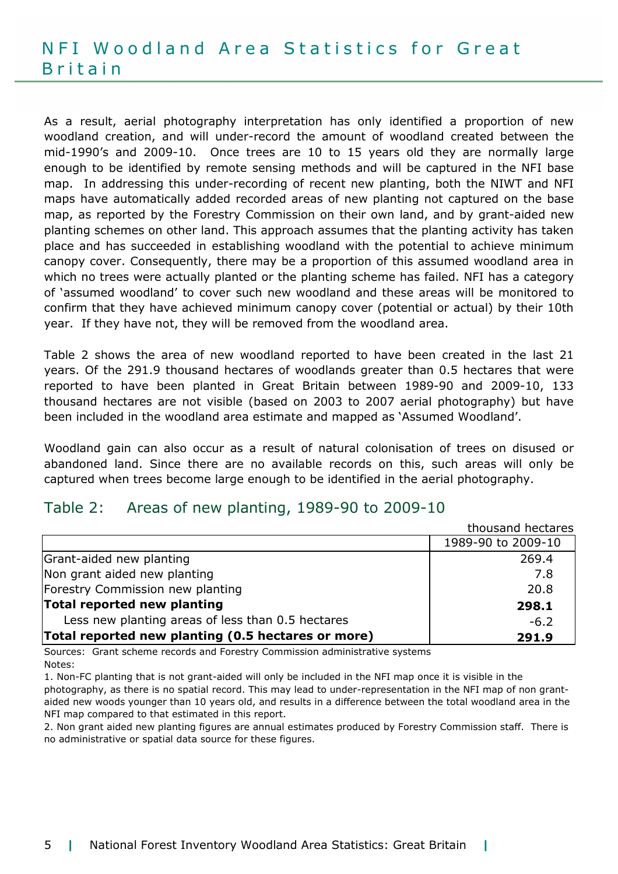As a result, aerial photography interpretation has only identified a proportion of new woodland creation, and will under-record the amount of woodland created between the mid-1990's and 2009-10. Once trees are 10 to 15 years old they are normally large enough to be identified by remote sensing methods and will be captured in the NFI base map. In addressing this under-recording of recent new planting, both the NIWT and NFI maps have automatically added recorded areas of new planting not captured on the base map, as reported by the Forestry Commission on their own land, and by grant-aided new planting schemes on other land. This approach assumes that the planting activity has taken place and has succeeded in establishing woodland with the potential to achieve minimum canopy cover. Consequently, there may be a proportion of this assumed woodland area in which no trees were actually planted or the planting scheme has failed. NFI has a category of 'assumed woodland' to cover such new woodland and these areas will be monitored to confirm that they have achieved minimum canopy cover (potential or actual) by their 10th year. If they have not, they will be removed from the woodland area.

Table 2 shows the area of new woodland reported to have been created in the last 21 years. Of the 291.9 thousand hectares of woodlands greater than 0.5 hectares that were reported to have been planted in Great Britain between 1989-90 and 2009-10, 133 thousand hectares are not visible (based on 2003 to 2007 aerial photography) but have been included in the woodland area estimate and mapped as 'Assumed Woodland'.

Woodland gain can also occur as a result of natural colonisation of trees on disused or abandoned land. Since there are no available records on this, such areas will only be captured when trees become large enough to be identified in the aerial photography.

#### Table 2: Areas of new planting, 1989-90 to 2009-10

| thousand hectares                                  |                    |  |
|----------------------------------------------------|--------------------|--|
|                                                    | 1989-90 to 2009-10 |  |
| Grant-aided new planting                           | 269.4              |  |
| Non grant aided new planting                       | 7.8                |  |
| Forestry Commission new planting                   | 20.8               |  |
| Total reported new planting                        | 298.1              |  |
| Less new planting areas of less than 0.5 hectares  | $-6.2$             |  |
| Total reported new planting (0.5 hectares or more) | 291.9              |  |

Sources: Grant scheme records and Forestry Commission administrative systems Notes:

1. Non-FC planting that is not grant-aided will only be included in the NFI map once it is visible in the photography, as there is no spatial record. This may lead to under-representation in the NFI map of non grantaided new woods younger than 10 years old, and results in a difference between the total woodland area in the NFI map compared to that estimated in this report.

2. Non grant aided new planting figures are annual estimates produced by Forestry Commission staff. There is no administrative or spatial data source for these figures.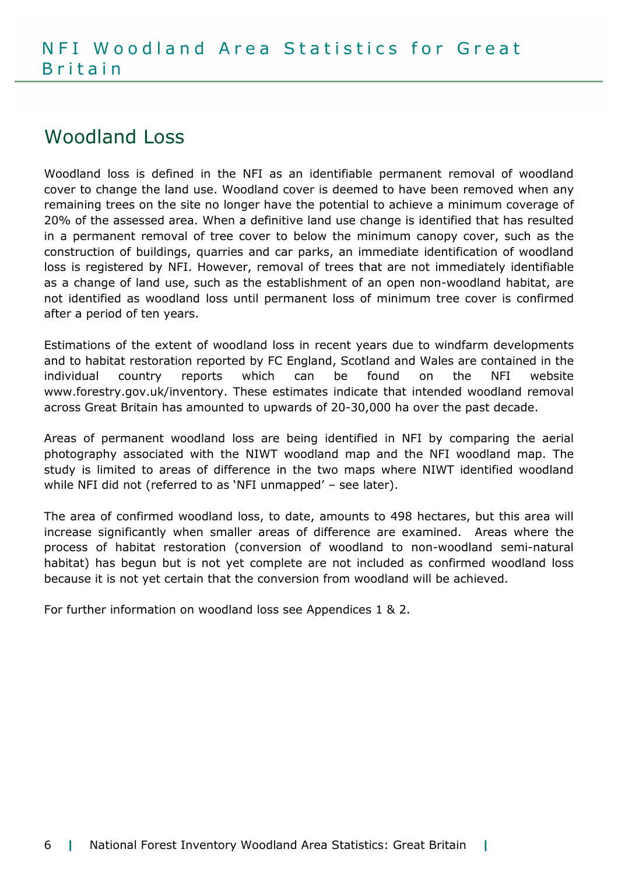## Woodland Loss

Woodland loss is defined in the NFI as an identifiable permanent removal of woodland cover to change the land use. Woodland cover is deemed to have been removed when any remaining trees on the site no longer have the potential to achieve a minimum coverage of 20% of the assessed area. When a definitive land use change is identified that has resulted in a permanent removal of tree cover to below the minimum canopy cover, such as the construction of buildings, quarries and car parks, an immediate identification of woodland loss is registered by NFI. However, removal of trees that are not immediately identifiable as a change of land use, such as the establishment of an open non-woodland habitat, are not identified as woodland loss until permanent loss of minimum tree cover is confirmed after a period of ten years.

Estimations of the extent of woodland loss in recent years due to windfarm developments and to habitat restoration reported by FC England, Scotland and Wales are contained in the individual country reports which can be found on the NFI website www.forestry.gov.uk/inventory. These estimates indicate that intended woodland removal across Great Britain has amounted to upwards of 20-30,000 ha over the past decade.

Areas of permanent woodland loss are being identified in NFI by comparing the aerial photography associated with the NIWT woodland map and the NFI woodland map. The study is limited to areas of difference in the two maps where NIWT identified woodland while NFI did not (referred to as 'NFI unmapped' – see later).

The area of confirmed woodland loss, to date, amounts to 498 hectares, but this area will increase significantly when smaller areas of difference are examined. Areas where the process of habitat restoration (conversion of woodland to non-woodland semi-natural habitat) has begun but is not yet complete are not included as confirmed woodland loss because it is not yet certain that the conversion from woodland will be achieved.

For further information on woodland loss see Appendices 1 & 2.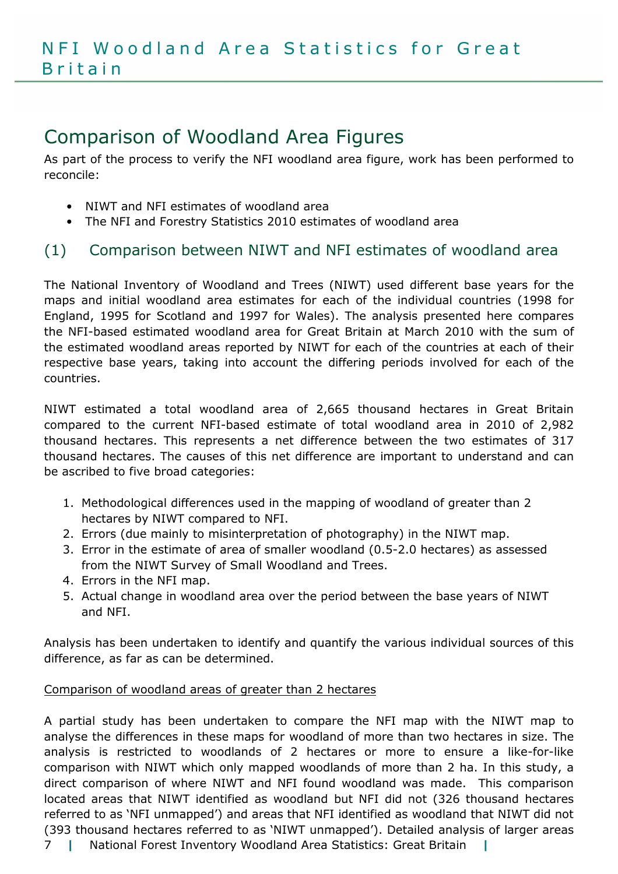# Comparison of Woodland Area Figures

As part of the process to verify the NFI woodland area figure, work has been performed to reconcile:

- NIWT and NFI estimates of woodland area
- The NFI and Forestry Statistics 2010 estimates of woodland area

## (1) Comparison between NIWT and NFI estimates of woodland area

The National Inventory of Woodland and Trees (NIWT) used different base years for the maps and initial woodland area estimates for each of the individual countries (1998 for England, 1995 for Scotland and 1997 for Wales). The analysis presented here compares the NFI-based estimated woodland area for Great Britain at March 2010 with the sum of the estimated woodland areas reported by NIWT for each of the countries at each of their respective base years, taking into account the differing periods involved for each of the countries.

NIWT estimated a total woodland area of 2,665 thousand hectares in Great Britain compared to the current NFI-based estimate of total woodland area in 2010 of 2,982 thousand hectares. This represents a net difference between the two estimates of 317 thousand hectares. The causes of this net difference are important to understand and can be ascribed to five broad categories:

- 1. Methodological differences used in the mapping of woodland of greater than 2 hectares by NIWT compared to NFI.
- 2. Errors (due mainly to misinterpretation of photography) in the NIWT map.
- 3. Error in the estimate of area of smaller woodland (0.5-2.0 hectares) as assessed from the NIWT Survey of Small Woodland and Trees.
- 4. Errors in the NFI map.
- 5. Actual change in woodland area over the period between the base years of NIWT and NFI.

Analysis has been undertaken to identify and quantify the various individual sources of this difference, as far as can be determined.

#### Comparison of woodland areas of greater than 2 hectares

7 | National Forest Inventory Woodland Area Statistics: Great Britain | A partial study has been undertaken to compare the NFI map with the NIWT map to analyse the differences in these maps for woodland of more than two hectares in size. The analysis is restricted to woodlands of 2 hectares or more to ensure a like-for-like comparison with NIWT which only mapped woodlands of more than 2 ha. In this study, a direct comparison of where NIWT and NFI found woodland was made. This comparison located areas that NIWT identified as woodland but NFI did not (326 thousand hectares referred to as 'NFI unmapped') and areas that NFI identified as woodland that NIWT did not (393 thousand hectares referred to as 'NIWT unmapped'). Detailed analysis of larger areas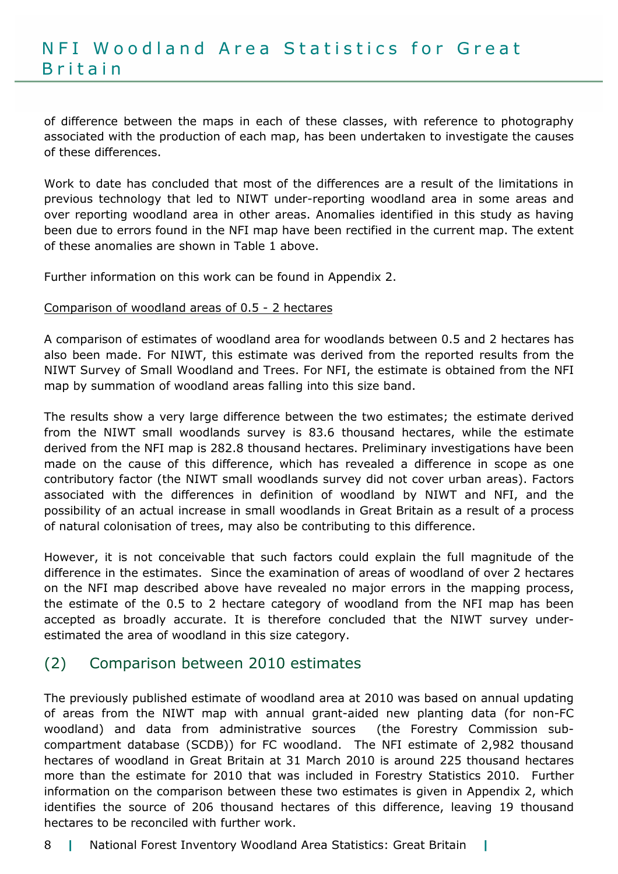of difference between the maps in each of these classes, with reference to photography associated with the production of each map, has been undertaken to investigate the causes of these differences.

Work to date has concluded that most of the differences are a result of the limitations in previous technology that led to NIWT under-reporting woodland area in some areas and over reporting woodland area in other areas. Anomalies identified in this study as having been due to errors found in the NFI map have been rectified in the current map. The extent of these anomalies are shown in Table 1 above.

Further information on this work can be found in Appendix 2.

#### Comparison of woodland areas of 0.5 - 2 hectares

A comparison of estimates of woodland area for woodlands between 0.5 and 2 hectares has also been made. For NIWT, this estimate was derived from the reported results from the NIWT Survey of Small Woodland and Trees. For NFI, the estimate is obtained from the NFI map by summation of woodland areas falling into this size band.

The results show a very large difference between the two estimates; the estimate derived from the NIWT small woodlands survey is 83.6 thousand hectares, while the estimate derived from the NFI map is 282.8 thousand hectares. Preliminary investigations have been made on the cause of this difference, which has revealed a difference in scope as one contributory factor (the NIWT small woodlands survey did not cover urban areas). Factors associated with the differences in definition of woodland by NIWT and NFI, and the possibility of an actual increase in small woodlands in Great Britain as a result of a process of natural colonisation of trees, may also be contributing to this difference.

However, it is not conceivable that such factors could explain the full magnitude of the difference in the estimates. Since the examination of areas of woodland of over 2 hectares on the NFI map described above have revealed no major errors in the mapping process, the estimate of the 0.5 to 2 hectare category of woodland from the NFI map has been accepted as broadly accurate. It is therefore concluded that the NIWT survey underestimated the area of woodland in this size category.

## (2) Comparison between 2010 estimates

The previously published estimate of woodland area at 2010 was based on annual updating of areas from the NIWT map with annual grant-aided new planting data (for non-FC woodland) and data from administrative sources (the Forestry Commission subcompartment database (SCDB)) for FC woodland. The NFI estimate of 2,982 thousand hectares of woodland in Great Britain at 31 March 2010 is around 225 thousand hectares more than the estimate for 2010 that was included in Forestry Statistics 2010. Further information on the comparison between these two estimates is given in Appendix 2, which identifies the source of 206 thousand hectares of this difference, leaving 19 thousand hectares to be reconciled with further work.

#### 8 | National Forest Inventory Woodland Area Statistics: Great Britain |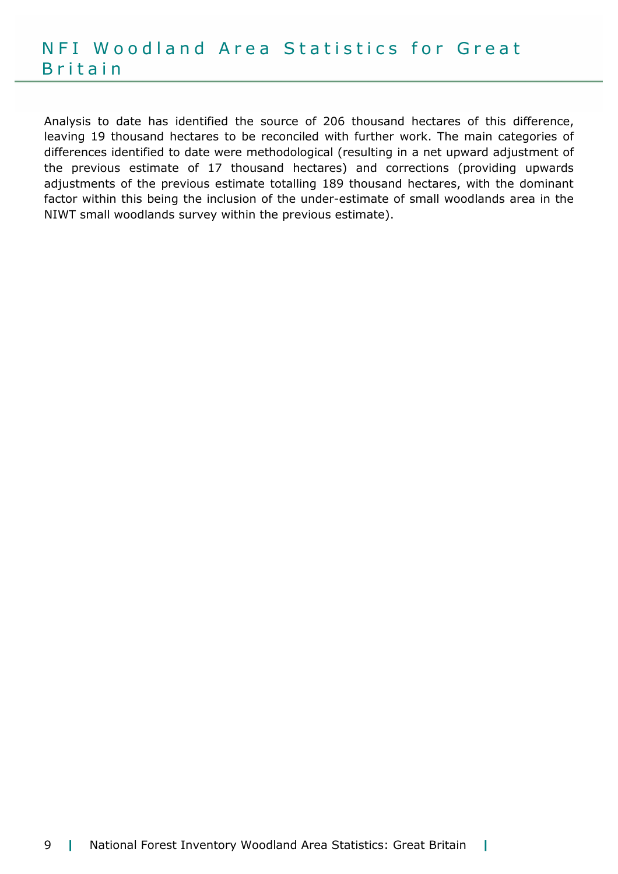Analysis to date has identified the source of 206 thousand hectares of this difference, leaving 19 thousand hectares to be reconciled with further work. The main categories of differences identified to date were methodological (resulting in a net upward adjustment of the previous estimate of 17 thousand hectares) and corrections (providing upwards adjustments of the previous estimate totalling 189 thousand hectares, with the dominant factor within this being the inclusion of the under-estimate of small woodlands area in the NIWT small woodlands survey within the previous estimate).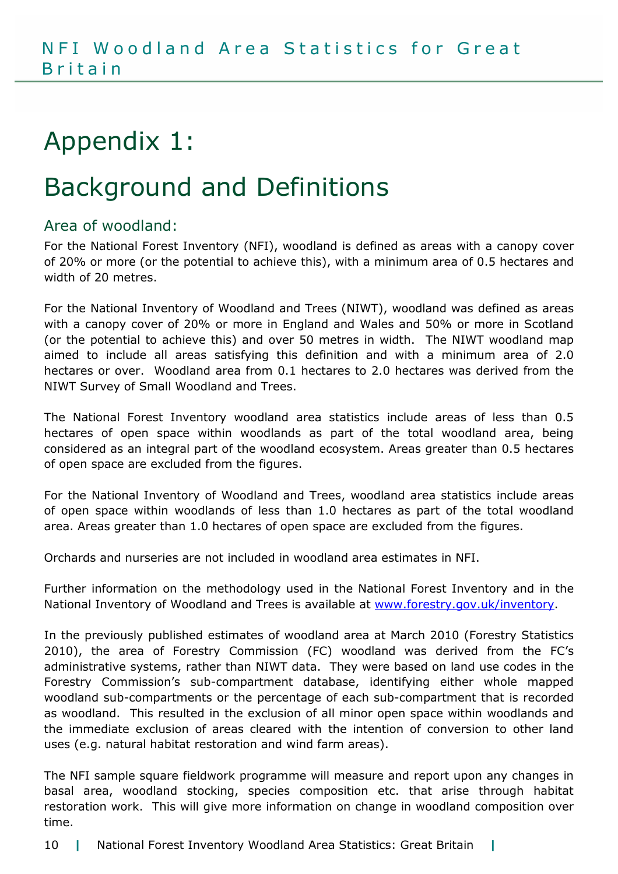# Appendix 1:

# Background and Definitions

## Area of woodland:

For the National Forest Inventory (NFI), woodland is defined as areas with a canopy cover of 20% or more (or the potential to achieve this), with a minimum area of 0.5 hectares and width of 20 metres.

For the National Inventory of Woodland and Trees (NIWT), woodland was defined as areas with a canopy cover of 20% or more in England and Wales and 50% or more in Scotland (or the potential to achieve this) and over 50 metres in width. The NIWT woodland map aimed to include all areas satisfying this definition and with a minimum area of 2.0 hectares or over. Woodland area from 0.1 hectares to 2.0 hectares was derived from the NIWT Survey of Small Woodland and Trees.

The National Forest Inventory woodland area statistics include areas of less than 0.5 hectares of open space within woodlands as part of the total woodland area, being considered as an integral part of the woodland ecosystem. Areas greater than 0.5 hectares of open space are excluded from the figures.

For the National Inventory of Woodland and Trees, woodland area statistics include areas of open space within woodlands of less than 1.0 hectares as part of the total woodland area. Areas greater than 1.0 hectares of open space are excluded from the figures.

Orchards and nurseries are not included in woodland area estimates in NFI.

Further information on the methodology used in the National Forest Inventory and in the National Inventory of Woodland and Trees is available at www.forestry.gov.uk/inventory.

In the previously published estimates of woodland area at March 2010 (Forestry Statistics 2010), the area of Forestry Commission (FC) woodland was derived from the FC's administrative systems, rather than NIWT data. They were based on land use codes in the Forestry Commission's sub-compartment database, identifying either whole mapped woodland sub-compartments or the percentage of each sub-compartment that is recorded as woodland. This resulted in the exclusion of all minor open space within woodlands and the immediate exclusion of areas cleared with the intention of conversion to other land uses (e.g. natural habitat restoration and wind farm areas).

The NFI sample square fieldwork programme will measure and report upon any changes in basal area, woodland stocking, species composition etc. that arise through habitat restoration work. This will give more information on change in woodland composition over time.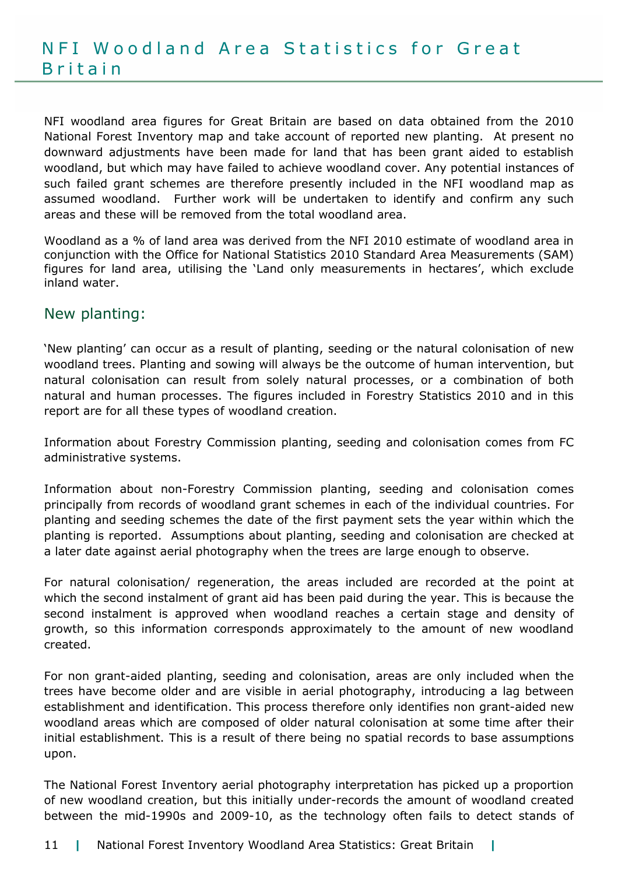NFI woodland area figures for Great Britain are based on data obtained from the 2010 National Forest Inventory map and take account of reported new planting. At present no downward adjustments have been made for land that has been grant aided to establish woodland, but which may have failed to achieve woodland cover. Any potential instances of such failed grant schemes are therefore presently included in the NFI woodland map as assumed woodland. Further work will be undertaken to identify and confirm any such areas and these will be removed from the total woodland area.

Woodland as a % of land area was derived from the NFI 2010 estimate of woodland area in conjunction with the Office for National Statistics 2010 Standard Area Measurements (SAM) figures for land area, utilising the 'Land only measurements in hectares', which exclude inland water.

## New planting:

'New planting' can occur as a result of planting, seeding or the natural colonisation of new woodland trees. Planting and sowing will always be the outcome of human intervention, but natural colonisation can result from solely natural processes, or a combination of both natural and human processes. The figures included in Forestry Statistics 2010 and in this report are for all these types of woodland creation.

Information about Forestry Commission planting, seeding and colonisation comes from FC administrative systems.

Information about non-Forestry Commission planting, seeding and colonisation comes principally from records of woodland grant schemes in each of the individual countries. For planting and seeding schemes the date of the first payment sets the year within which the planting is reported. Assumptions about planting, seeding and colonisation are checked at a later date against aerial photography when the trees are large enough to observe.

For natural colonisation/ regeneration, the areas included are recorded at the point at which the second instalment of grant aid has been paid during the year. This is because the second instalment is approved when woodland reaches a certain stage and density of growth, so this information corresponds approximately to the amount of new woodland created.

For non grant-aided planting, seeding and colonisation, areas are only included when the trees have become older and are visible in aerial photography, introducing a lag between establishment and identification. This process therefore only identifies non grant-aided new woodland areas which are composed of older natural colonisation at some time after their initial establishment. This is a result of there being no spatial records to base assumptions upon.

The National Forest Inventory aerial photography interpretation has picked up a proportion of new woodland creation, but this initially under-records the amount of woodland created between the mid-1990s and 2009-10, as the technology often fails to detect stands of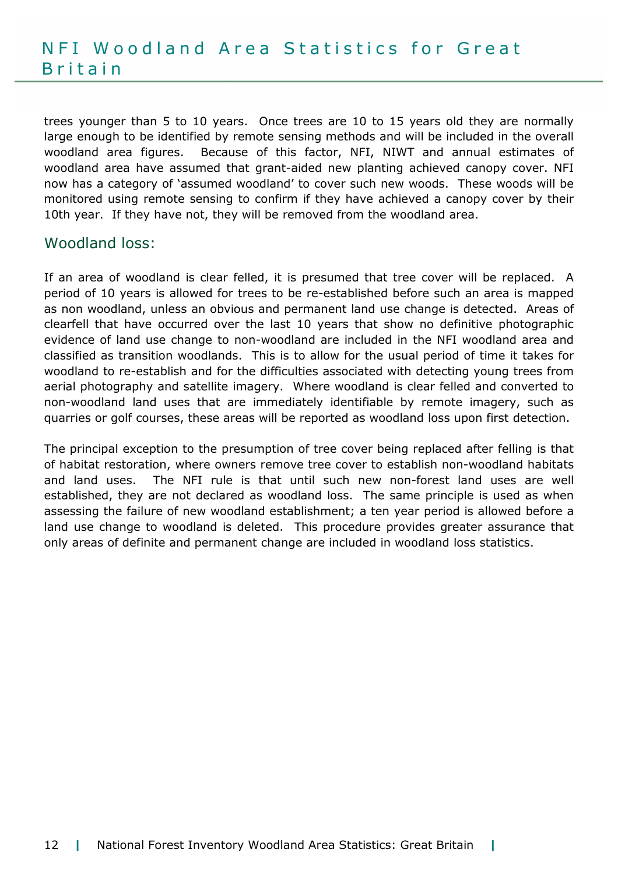## N F I W o o d l a n d A r e a Statistics for Great **B**ritain

trees younger than 5 to 10 years. Once trees are 10 to 15 years old they are normally large enough to be identified by remote sensing methods and will be included in the overall woodland area figures. Because of this factor, NFI, NIWT and annual estimates of woodland area have assumed that grant-aided new planting achieved canopy cover. NFI now has a category of 'assumed woodland' to cover such new woods. These woods will be monitored using remote sensing to confirm if they have achieved a canopy cover by their 10th year. If they have not, they will be removed from the woodland area.

#### Woodland loss:

If an area of woodland is clear felled, it is presumed that tree cover will be replaced. A period of 10 years is allowed for trees to be re-established before such an area is mapped as non woodland, unless an obvious and permanent land use change is detected. Areas of clearfell that have occurred over the last 10 years that show no definitive photographic evidence of land use change to non-woodland are included in the NFI woodland area and classified as transition woodlands. This is to allow for the usual period of time it takes for woodland to re-establish and for the difficulties associated with detecting young trees from aerial photography and satellite imagery. Where woodland is clear felled and converted to non-woodland land uses that are immediately identifiable by remote imagery, such as quarries or golf courses, these areas will be reported as woodland loss upon first detection.

The principal exception to the presumption of tree cover being replaced after felling is that of habitat restoration, where owners remove tree cover to establish non-woodland habitats and land uses. The NFI rule is that until such new non-forest land uses are well established, they are not declared as woodland loss. The same principle is used as when assessing the failure of new woodland establishment; a ten year period is allowed before a land use change to woodland is deleted. This procedure provides greater assurance that only areas of definite and permanent change are included in woodland loss statistics.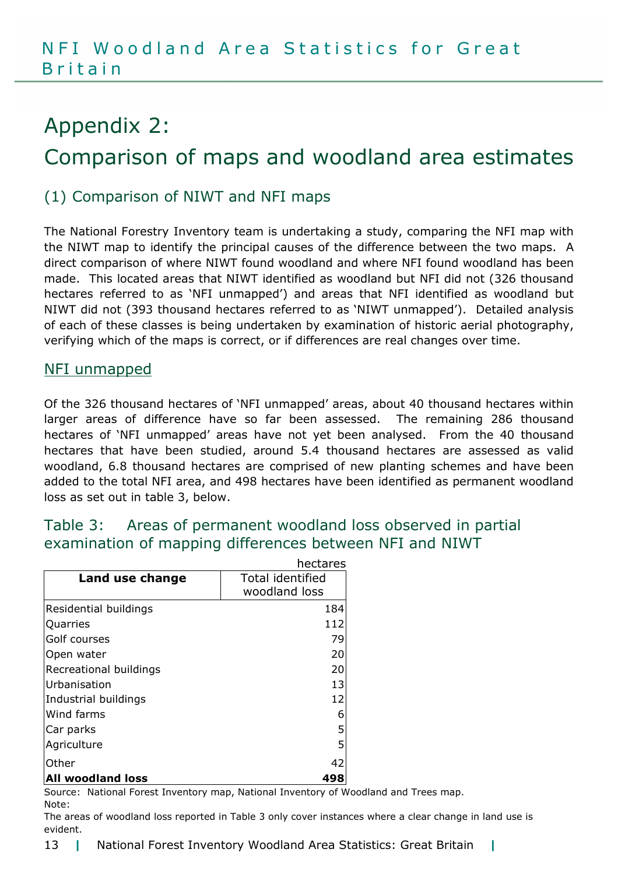# Appendix 2: Comparison of maps and woodland area estimates

## (1) Comparison of NIWT and NFI maps

The National Forestry Inventory team is undertaking a study, comparing the NFI map with the NIWT map to identify the principal causes of the difference between the two maps. A direct comparison of where NIWT found woodland and where NFI found woodland has been made. This located areas that NIWT identified as woodland but NFI did not (326 thousand hectares referred to as 'NFI unmapped') and areas that NFI identified as woodland but NIWT did not (393 thousand hectares referred to as 'NIWT unmapped'). Detailed analysis of each of these classes is being undertaken by examination of historic aerial photography, verifying which of the maps is correct, or if differences are real changes over time.

#### NFI unmapped

Of the 326 thousand hectares of 'NFI unmapped' areas, about 40 thousand hectares within larger areas of difference have so far been assessed. The remaining 286 thousand hectares of 'NFI unmapped' areas have not yet been analysed. From the 40 thousand hectares that have been studied, around 5.4 thousand hectares are assessed as valid woodland, 6.8 thousand hectares are comprised of new planting schemes and have been added to the total NFI area, and 498 hectares have been identified as permanent woodland loss as set out in table 3, below.

## Table 3: Areas of permanent woodland loss observed in partial examination of mapping differences between NFI and NIWT

| hectares                 |                         |
|--------------------------|-------------------------|
| Land use change          | <b>Total identified</b> |
|                          | woodland loss           |
| Residential buildings    | 184                     |
| Quarries                 | 112                     |
| Golf courses             | 79                      |
| Open water               | 20                      |
| Recreational buildings   | 20                      |
| Urbanisation             | 13                      |
| Industrial buildings     | 12                      |
| Wind farms               | 6                       |
| Car parks                | 5                       |
| Agriculture              | 5                       |
| Other                    | 42                      |
| <b>All woodland loss</b> | 498                     |

Source: National Forest Inventory map, National Inventory of Woodland and Trees map. Note:

The areas of woodland loss reported in Table 3 only cover instances where a clear change in land use is evident.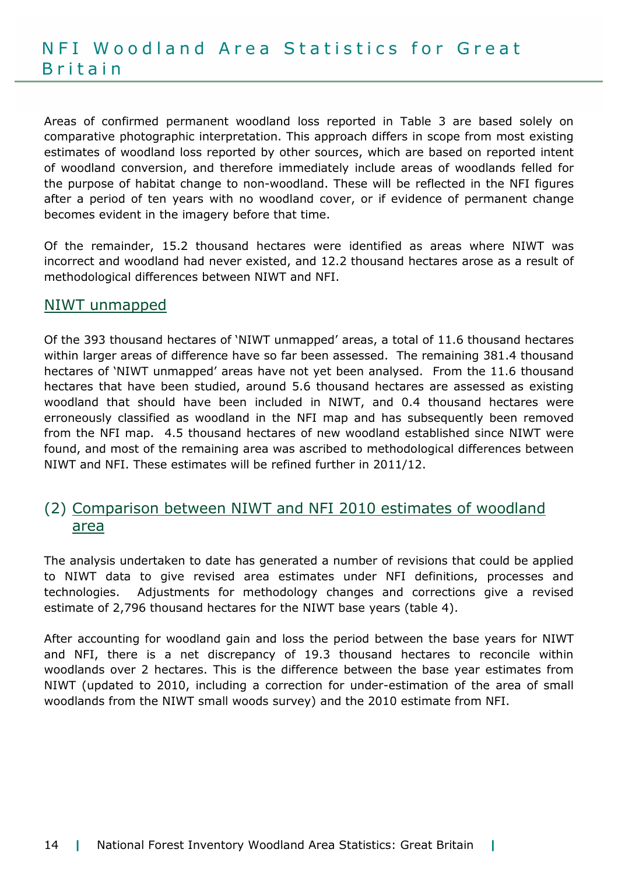Areas of confirmed permanent woodland loss reported in Table 3 are based solely on comparative photographic interpretation. This approach differs in scope from most existing estimates of woodland loss reported by other sources, which are based on reported intent of woodland conversion, and therefore immediately include areas of woodlands felled for the purpose of habitat change to non-woodland. These will be reflected in the NFI figures after a period of ten years with no woodland cover, or if evidence of permanent change becomes evident in the imagery before that time.

Of the remainder, 15.2 thousand hectares were identified as areas where NIWT was incorrect and woodland had never existed, and 12.2 thousand hectares arose as a result of methodological differences between NIWT and NFI.

## NIWT unmapped

Of the 393 thousand hectares of 'NIWT unmapped' areas, a total of 11.6 thousand hectares within larger areas of difference have so far been assessed. The remaining 381.4 thousand hectares of 'NIWT unmapped' areas have not yet been analysed. From the 11.6 thousand hectares that have been studied, around 5.6 thousand hectares are assessed as existing woodland that should have been included in NIWT, and 0.4 thousand hectares were erroneously classified as woodland in the NFI map and has subsequently been removed from the NFI map. 4.5 thousand hectares of new woodland established since NIWT were found, and most of the remaining area was ascribed to methodological differences between NIWT and NFI. These estimates will be refined further in 2011/12.

## (2) Comparison between NIWT and NFI 2010 estimates of woodland area

The analysis undertaken to date has generated a number of revisions that could be applied to NIWT data to give revised area estimates under NFI definitions, processes and technologies. Adjustments for methodology changes and corrections give a revised estimate of 2,796 thousand hectares for the NIWT base years (table 4).

After accounting for woodland gain and loss the period between the base years for NIWT and NFI, there is a net discrepancy of 19.3 thousand hectares to reconcile within woodlands over 2 hectares. This is the difference between the base year estimates from NIWT (updated to 2010, including a correction for under-estimation of the area of small woodlands from the NIWT small woods survey) and the 2010 estimate from NFI.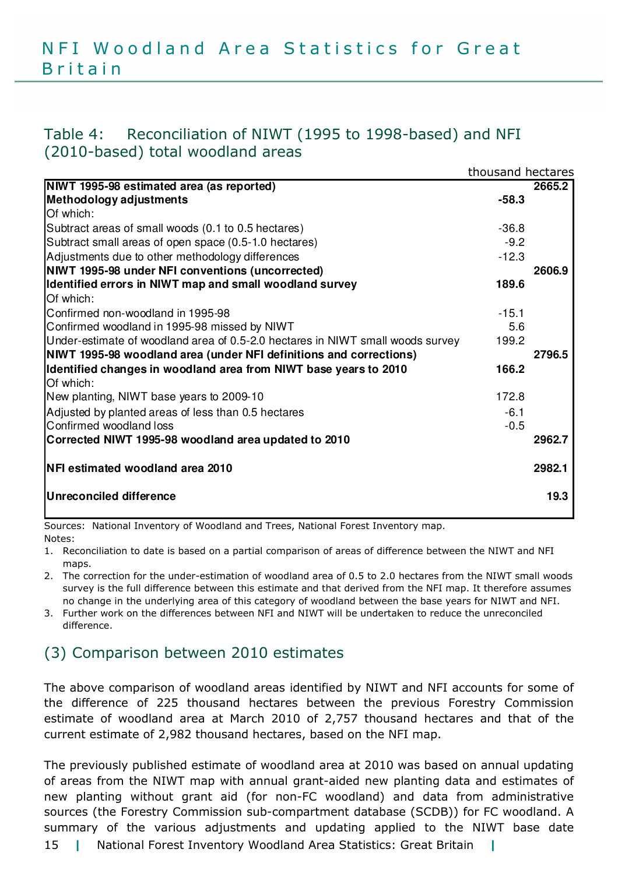## Table 4: Reconciliation of NIWT (1995 to 1998-based) and NFI (2010-based) total woodland areas

|                                                                                | thousand hectares |        |
|--------------------------------------------------------------------------------|-------------------|--------|
| NIWT 1995-98 estimated area (as reported)                                      |                   | 2665.2 |
| Methodology adjustments                                                        | $-58.3$           |        |
| Of which:                                                                      |                   |        |
| Subtract areas of small woods (0.1 to 0.5 hectares)                            | $-36.8$           |        |
| Subtract small areas of open space (0.5-1.0 hectares)                          | $-9.2$            |        |
| Adjustments due to other methodology differences                               | $-12.3$           |        |
| NIWT 1995-98 under NFI conventions (uncorrected)                               |                   | 2606.9 |
| Identified errors in NIWT map and small woodland survey                        | 189.6             |        |
| Of which:                                                                      |                   |        |
| Confirmed non-woodland in 1995-98                                              | $-15.1$           |        |
| Confirmed woodland in 1995-98 missed by NIWT                                   | 5.6               |        |
| Under-estimate of woodland area of 0.5-2.0 hectares in NIWT small woods survey | 199.2             |        |
| NIWT 1995-98 woodland area (under NFI definitions and corrections)             |                   | 2796.5 |
| Identified changes in woodland area from NIWT base years to 2010               | 166.2             |        |
| Of which:                                                                      |                   |        |
| New planting, NIWT base years to 2009-10                                       | 172.8             |        |
| Adjusted by planted areas of less than 0.5 hectares                            | $-6.1$            |        |
| Confirmed woodland loss                                                        | $-0.5$            |        |
| Corrected NIWT 1995-98 woodland area updated to 2010                           |                   | 2962.7 |
| <b>NFI estimated woodland area 2010</b>                                        |                   | 2982.1 |
| <b>Unreconciled difference</b>                                                 |                   | 19.3   |

Sources: National Inventory of Woodland and Trees, National Forest Inventory map. Notes:

1. Reconciliation to date is based on a partial comparison of areas of difference between the NIWT and NFI maps.

2. The correction for the under-estimation of woodland area of 0.5 to 2.0 hectares from the NIWT small woods survey is the full difference between this estimate and that derived from the NFI map. It therefore assumes no change in the underlying area of this category of woodland between the base years for NIWT and NFI.

3. Further work on the differences between NFI and NIWT will be undertaken to reduce the unreconciled difference.

## (3) Comparison between 2010 estimates

The above comparison of woodland areas identified by NIWT and NFI accounts for some of the difference of 225 thousand hectares between the previous Forestry Commission estimate of woodland area at March 2010 of 2,757 thousand hectares and that of the current estimate of 2,982 thousand hectares, based on the NFI map.

15 | National Forest Inventory Woodland Area Statistics: Great Britain | The previously published estimate of woodland area at 2010 was based on annual updating of areas from the NIWT map with annual grant-aided new planting data and estimates of new planting without grant aid (for non-FC woodland) and data from administrative sources (the Forestry Commission sub-compartment database (SCDB)) for FC woodland. A summary of the various adjustments and updating applied to the NIWT base date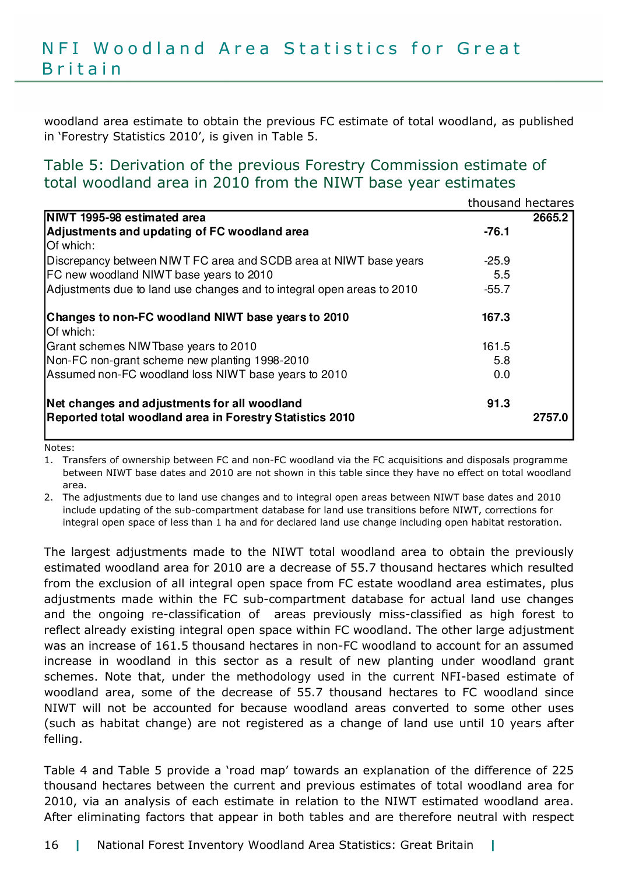## N F I W o o d l a n d A r e a Statistics for Great **B**ritain

woodland area estimate to obtain the previous FC estimate of total woodland, as published in 'Forestry Statistics 2010', is given in Table 5.

## Table 5: Derivation of the previous Forestry Commission estimate of total woodland area in 2010 from the NIWT base year estimates

|                                                                        |         | thousand hectares |
|------------------------------------------------------------------------|---------|-------------------|
| NIWT 1995-98 estimated area                                            |         | 2665.2            |
| Adjustments and updating of FC woodland area                           | $-76.1$ |                   |
| Of which:                                                              |         |                   |
| Discrepancy between NIWT FC area and SCDB area at NIWT base years      | $-25.9$ |                   |
| FC new woodland NIWT base years to 2010                                | 5.5     |                   |
| Adjustments due to land use changes and to integral open areas to 2010 | $-55.7$ |                   |
| Changes to non-FC woodland NIWT base years to 2010<br>Of which:        | 167.3   |                   |
| Grant schemes NIW Tbase years to 2010                                  | 161.5   |                   |
| Non-FC non-grant scheme new planting 1998-2010                         | 5.8     |                   |
| Assumed non-FC woodland loss NIWT base years to 2010                   | 0.0     |                   |
| Net changes and adjustments for all woodland                           | 91.3    |                   |
| Reported total woodland area in Forestry Statistics 2010               |         | 2757.0            |

Notes:

1. Transfers of ownership between FC and non-FC woodland via the FC acquisitions and disposals programme between NIWT base dates and 2010 are not shown in this table since they have no effect on total woodland area.

2. The adjustments due to land use changes and to integral open areas between NIWT base dates and 2010 include updating of the sub-compartment database for land use transitions before NIWT, corrections for integral open space of less than 1 ha and for declared land use change including open habitat restoration.

The largest adjustments made to the NIWT total woodland area to obtain the previously estimated woodland area for 2010 are a decrease of 55.7 thousand hectares which resulted from the exclusion of all integral open space from FC estate woodland area estimates, plus adjustments made within the FC sub-compartment database for actual land use changes and the ongoing re-classification of areas previously miss-classified as high forest to reflect already existing integral open space within FC woodland. The other large adjustment was an increase of 161.5 thousand hectares in non-FC woodland to account for an assumed increase in woodland in this sector as a result of new planting under woodland grant schemes. Note that, under the methodology used in the current NFI-based estimate of woodland area, some of the decrease of 55.7 thousand hectares to FC woodland since NIWT will not be accounted for because woodland areas converted to some other uses (such as habitat change) are not registered as a change of land use until 10 years after felling.

Table 4 and Table 5 provide a 'road map' towards an explanation of the difference of 225 thousand hectares between the current and previous estimates of total woodland area for 2010, via an analysis of each estimate in relation to the NIWT estimated woodland area. After eliminating factors that appear in both tables and are therefore neutral with respect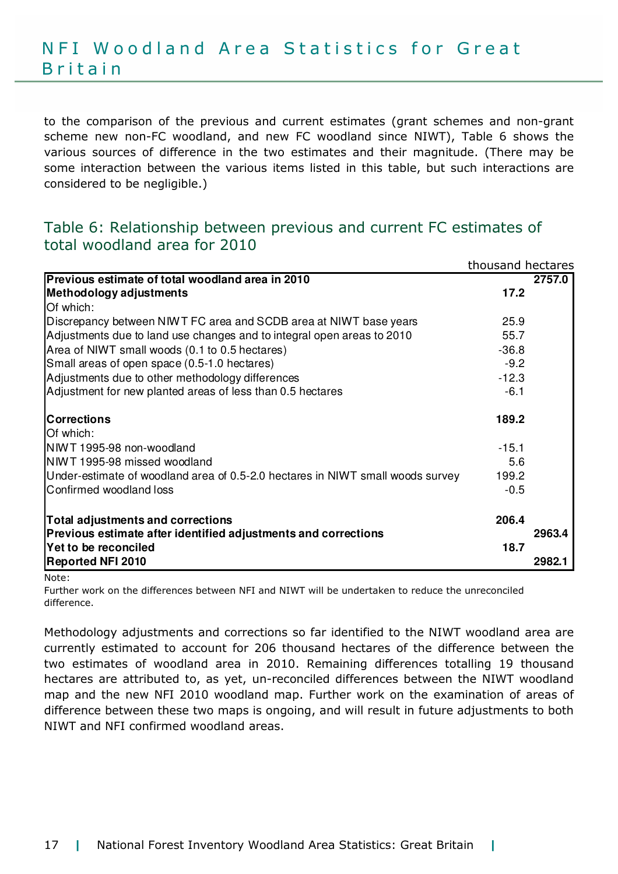to the comparison of the previous and current estimates (grant schemes and non-grant scheme new non-FC woodland, and new FC woodland since NIWT), Table 6 shows the various sources of difference in the two estimates and their magnitude. (There may be some interaction between the various items listed in this table, but such interactions are considered to be negligible.)

## Table 6: Relationship between previous and current FC estimates of total woodland area for 2010

|                                                                                | thousand hectares |        |
|--------------------------------------------------------------------------------|-------------------|--------|
| Previous estimate of total woodland area in 2010                               |                   | 2757.0 |
| Methodology adjustments                                                        | 17.2              |        |
| Of which:                                                                      |                   |        |
| Discrepancy between NIWT FC area and SCDB area at NIWT base years              | 25.9              |        |
| Adjustments due to land use changes and to integral open areas to 2010         | 55.7              |        |
| Area of NIWT small woods (0.1 to 0.5 hectares)                                 | $-36.8$           |        |
| Small areas of open space (0.5-1.0 hectares)                                   | $-9.2$            |        |
| Adjustments due to other methodology differences                               | $-12.3$           |        |
| Adjustment for new planted areas of less than 0.5 hectares                     | $-6.1$            |        |
| <b>Corrections</b>                                                             | 189.2             |        |
| Of which:                                                                      |                   |        |
| NIWT 1995-98 non-woodland                                                      | $-15.1$           |        |
| NIWT 1995-98 missed woodland                                                   | 5.6               |        |
| Under-estimate of woodland area of 0.5-2.0 hectares in NIWT small woods survey | 199.2             |        |
| Confirmed woodland loss                                                        | $-0.5$            |        |
| <b>Total adjustments and corrections</b>                                       | 206.4             |        |
| Previous estimate after identified adjustments and corrections                 |                   | 2963.4 |
| Yet to be reconciled                                                           | 18.7              |        |
| <b>Reported NFI 2010</b>                                                       |                   | 2982.1 |

Note:

Further work on the differences between NFI and NIWT will be undertaken to reduce the unreconciled difference.

Methodology adjustments and corrections so far identified to the NIWT woodland area are currently estimated to account for 206 thousand hectares of the difference between the two estimates of woodland area in 2010. Remaining differences totalling 19 thousand hectares are attributed to, as yet, un-reconciled differences between the NIWT woodland map and the new NFI 2010 woodland map. Further work on the examination of areas of difference between these two maps is ongoing, and will result in future adjustments to both NIWT and NFI confirmed woodland areas.